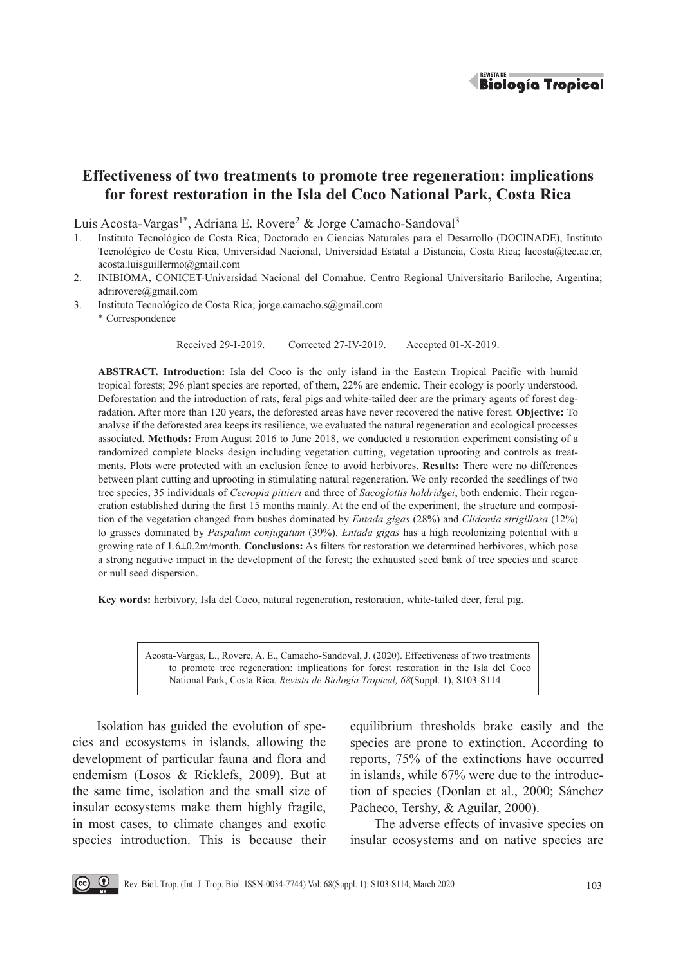

# **Effectiveness of two treatments to promote tree regeneration: implications for forest restoration in the Isla del Coco National Park, Costa Rica**

Luis Acosta-Vargas<sup>1\*</sup>, Adriana E. Rovere<sup>2</sup> & Jorge Camacho-Sandoval<sup>3</sup>

- 1. Instituto Tecnológico de Costa Rica; Doctorado en Ciencias Naturales para el Desarrollo (DOCINADE), Instituto Tecnológico de Costa Rica, Universidad Nacional, Universidad Estatal a Distancia, Costa Rica; lacosta@tec.ac.cr, acosta.luisguillermo@gmail.com
- 2. INIBIOMA, CONICET-Universidad Nacional del Comahue. Centro Regional Universitario Bariloche, Argentina; adrirovere@gmail.com
- 3. Instituto Tecnológico de Costa Rica; jorge.camacho.s@gmail.com \* Correspondence

Received 29-I-2019. Corrected 27-IV-2019. Accepted 01-X-2019.

**ABSTRACT. Introduction:** Isla del Coco is the only island in the Eastern Tropical Pacific with humid tropical forests; 296 plant species are reported, of them, 22% are endemic. Their ecology is poorly understood. Deforestation and the introduction of rats, feral pigs and white-tailed deer are the primary agents of forest degradation. After more than 120 years, the deforested areas have never recovered the native forest. **Objective:** To analyse if the deforested area keeps its resilience, we evaluated the natural regeneration and ecological processes associated. **Methods:** From August 2016 to June 2018, we conducted a restoration experiment consisting of a randomized complete blocks design including vegetation cutting, vegetation uprooting and controls as treatments. Plots were protected with an exclusion fence to avoid herbivores. **Results:** There were no differences between plant cutting and uprooting in stimulating natural regeneration. We only recorded the seedlings of two tree species, 35 individuals of *Cecropia pittieri* and three of *Sacoglottis holdridgei*, both endemic. Their regeneration established during the first 15 months mainly. At the end of the experiment, the structure and composition of the vegetation changed from bushes dominated by *Entada gigas* (28%) and *Clidemia strigillosa* (12%) to grasses dominated by *Paspalum conjugatum* (39%). *Entada gigas* has a high recolonizing potential with a growing rate of 1.6±0.2m/month. **Conclusions:** As filters for restoration we determined herbivores, which pose a strong negative impact in the development of the forest; the exhausted seed bank of tree species and scarce or null seed dispersion.

**Key words:** herbivory, Isla del Coco, natural regeneration, restoration, white-tailed deer, feral pig.

Acosta-Vargas, L., Rovere, A. E., Camacho-Sandoval, J. (2020). Effectiveness of two treatments to promote tree regeneration: implications for forest restoration in the Isla del Coco National Park, Costa Rica. *Revista de Biología Tropical, 68*(Suppl. 1), S103-S114.

Isolation has guided the evolution of species and ecosystems in islands, allowing the development of particular fauna and flora and endemism (Losos & Ricklefs, 2009). But at the same time, isolation and the small size of insular ecosystems make them highly fragile, in most cases, to climate changes and exotic species introduction. This is because their

equilibrium thresholds brake easily and the species are prone to extinction. According to reports, 75% of the extinctions have occurred in islands, while 67% were due to the introduction of species (Donlan et al., 2000; Sánchez Pacheco, Tershy, & Aguilar, 2000).

The adverse effects of invasive species on insular ecosystems and on native species are

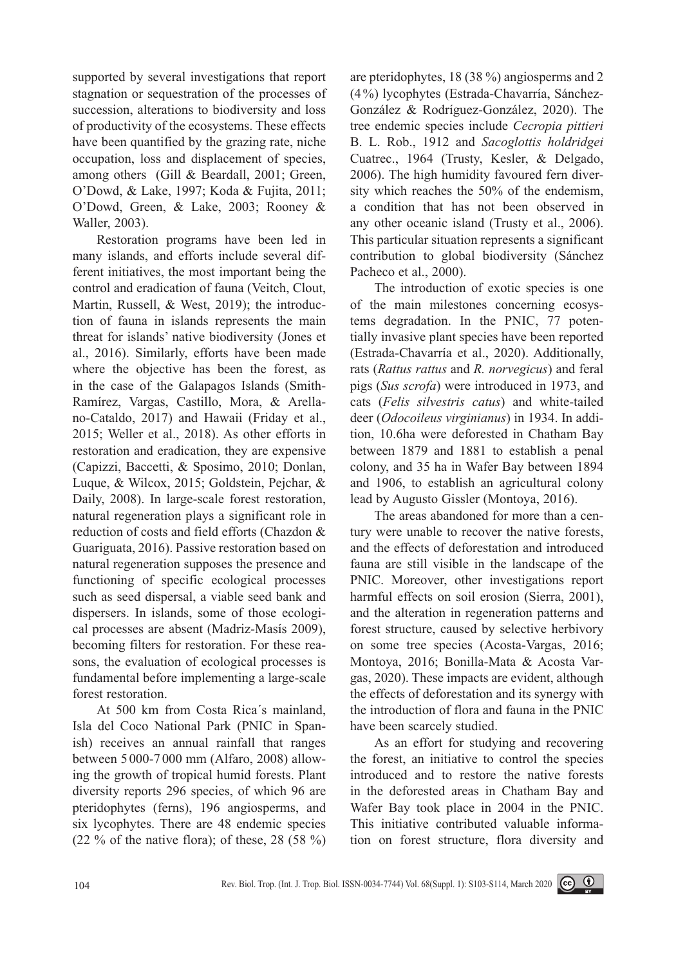supported by several investigations that report stagnation or sequestration of the processes of succession, alterations to biodiversity and loss of productivity of the ecosystems. These effects have been quantified by the grazing rate, niche occupation, loss and displacement of species, among others (Gill & Beardall, 2001; Green, O'Dowd, & Lake, 1997; Koda & Fujita, 2011; O'Dowd, Green, & Lake, 2003; Rooney & Waller, 2003).

Restoration programs have been led in many islands, and efforts include several different initiatives, the most important being the control and eradication of fauna (Veitch, Clout, Martin, Russell, & West, 2019); the introduction of fauna in islands represents the main threat for islands' native biodiversity (Jones et al., 2016). Similarly, efforts have been made where the objective has been the forest, as in the case of the Galapagos Islands (Smith-Ramírez, Vargas, Castillo, Mora, & Arellano-Cataldo, 2017) and Hawaii (Friday et al., 2015; Weller et al., 2018). As other efforts in restoration and eradication, they are expensive (Capizzi, Baccetti, & Sposimo, 2010; Donlan, Luque, & Wilcox, 2015; Goldstein, Pejchar, & Daily, 2008). In large-scale forest restoration, natural regeneration plays a significant role in reduction of costs and field efforts (Chazdon & Guariguata, 2016). Passive restoration based on natural regeneration supposes the presence and functioning of specific ecological processes such as seed dispersal, a viable seed bank and dispersers. In islands, some of those ecological processes are absent (Madriz-Masís 2009), becoming filters for restoration. For these reasons, the evaluation of ecological processes is fundamental before implementing a large-scale forest restoration.

At 500 km from Costa Rica´s mainland, Isla del Coco National Park (PNIC in Spanish) receives an annual rainfall that ranges between 5000-7 000 mm (Alfaro, 2008) allowing the growth of tropical humid forests. Plant diversity reports 296 species, of which 96 are pteridophytes (ferns), 196 angiosperms, and six lycophytes. There are 48 endemic species  $(22 \% \text{ of the native flora})$ ; of these, 28 (58 %) are pteridophytes, 18 (38 %) angiosperms and 2 (4%) lycophytes (Estrada-Chavarría, Sánchez-González & Rodríguez-González, 2020). The tree endemic species include *Cecropia pittieri* B. L. Rob., 1912 and *Sacoglottis holdridgei* Cuatrec., 1964 (Trusty, Kesler, & Delgado, 2006). The high humidity favoured fern diversity which reaches the 50% of the endemism, a condition that has not been observed in any other oceanic island (Trusty et al., 2006). This particular situation represents a significant contribution to global biodiversity (Sánchez Pacheco et al., 2000).

The introduction of exotic species is one of the main milestones concerning ecosystems degradation. In the PNIC, 77 potentially invasive plant species have been reported (Estrada-Chavarría et al., 2020). Additionally, rats (*Rattus rattus* and *R. norvegicus*) and feral pigs (*Sus scrofa*) were introduced in 1973, and cats (*Felis silvestris catus*) and white-tailed deer (*Odocoileus virginianus*) in 1934. In addition, 10.6ha were deforested in Chatham Bay between 1879 and 1881 to establish a penal colony, and 35 ha in Wafer Bay between 1894 and 1906, to establish an agricultural colony lead by Augusto Gissler (Montoya, 2016).

The areas abandoned for more than a century were unable to recover the native forests, and the effects of deforestation and introduced fauna are still visible in the landscape of the PNIC. Moreover, other investigations report harmful effects on soil erosion (Sierra, 2001), and the alteration in regeneration patterns and forest structure, caused by selective herbivory on some tree species (Acosta-Vargas, 2016; Montoya, 2016; Bonilla-Mata & Acosta Vargas, 2020). These impacts are evident, although the effects of deforestation and its synergy with the introduction of flora and fauna in the PNIC have been scarcely studied.

As an effort for studying and recovering the forest, an initiative to control the species introduced and to restore the native forests in the deforested areas in Chatham Bay and Wafer Bay took place in 2004 in the PNIC. This initiative contributed valuable information on forest structure, flora diversity and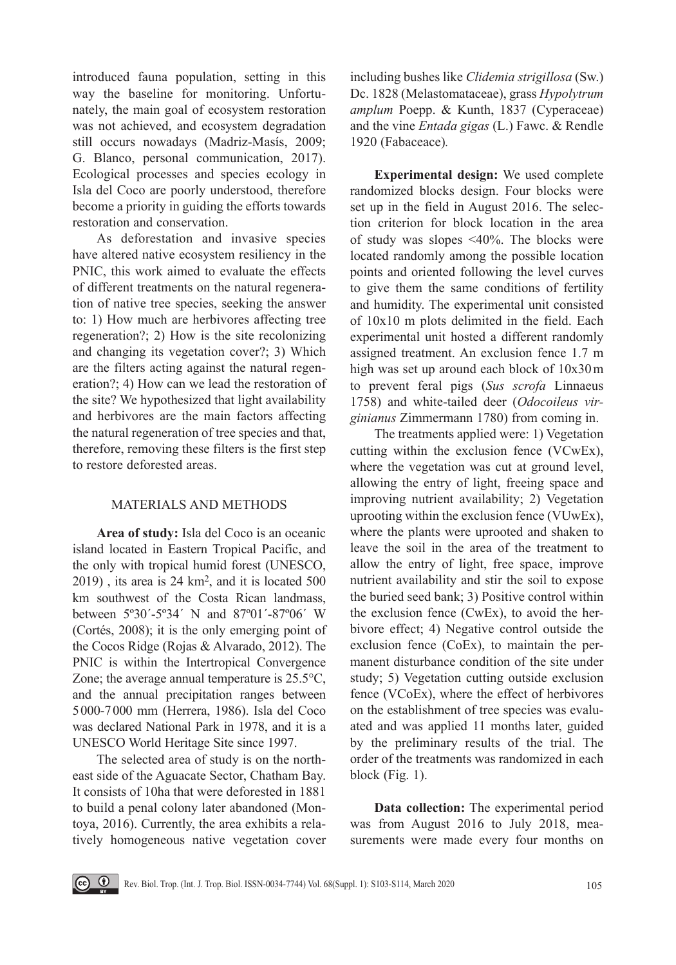introduced fauna population, setting in this way the baseline for monitoring. Unfortunately, the main goal of ecosystem restoration was not achieved, and ecosystem degradation still occurs nowadays (Madriz-Masís, 2009; G. Blanco, personal communication, 2017). Ecological processes and species ecology in Isla del Coco are poorly understood, therefore become a priority in guiding the efforts towards restoration and conservation.

As deforestation and invasive species have altered native ecosystem resiliency in the PNIC, this work aimed to evaluate the effects of different treatments on the natural regeneration of native tree species, seeking the answer to: 1) How much are herbivores affecting tree regeneration?; 2) How is the site recolonizing and changing its vegetation cover?; 3) Which are the filters acting against the natural regeneration?; 4) How can we lead the restoration of the site? We hypothesized that light availability and herbivores are the main factors affecting the natural regeneration of tree species and that, therefore, removing these filters is the first step to restore deforested areas.

# MATERIALS AND METHODS

**Area of study:** Isla del Coco is an oceanic island located in Eastern Tropical Pacific, and the only with tropical humid forest (UNESCO,  $2019$ ), its area is  $24 \text{ km}^2$ , and it is located  $500$ km southwest of the Costa Rican landmass, between 5º30´-5º34´ N and 87º01´-87º06´ W (Cortés, 2008); it is the only emerging point of the Cocos Ridge (Rojas & Alvarado, 2012). The PNIC is within the Intertropical Convergence Zone; the average annual temperature is 25.5°C, and the annual precipitation ranges between 5000-7000 mm (Herrera, 1986). Isla del Coco was declared National Park in 1978, and it is a UNESCO World Heritage Site since 1997.

The selected area of study is on the northeast side of the Aguacate Sector, Chatham Bay. It consists of 10ha that were deforested in 1881 to build a penal colony later abandoned (Montoya, 2016). Currently, the area exhibits a relatively homogeneous native vegetation cover

including bushes like *Clidemia strigillosa* (Sw.) Dc. 1828 (Melastomataceae), grass *Hypolytrum amplum* Poepp. & Kunth, 1837 (Cyperaceae) and the vine *Entada gigas* (L.) Fawc. & Rendle 1920 (Fabaceace)*.*

**Experimental design:** We used complete randomized blocks design. Four blocks were set up in the field in August 2016. The selection criterion for block location in the area of study was slopes <40%. The blocks were located randomly among the possible location points and oriented following the level curves to give them the same conditions of fertility and humidity. The experimental unit consisted of 10x10 m plots delimited in the field. Each experimental unit hosted a different randomly assigned treatment. An exclusion fence 1.7 m high was set up around each block of 10x30m to prevent feral pigs (*Sus scrofa* Linnaeus 1758) and white-tailed deer (*Odocoileus virginianus* Zimmermann 1780) from coming in.

The treatments applied were: 1) Vegetation cutting within the exclusion fence (VCwEx), where the vegetation was cut at ground level, allowing the entry of light, freeing space and improving nutrient availability; 2) Vegetation uprooting within the exclusion fence (VUwEx), where the plants were uprooted and shaken to leave the soil in the area of the treatment to allow the entry of light, free space, improve nutrient availability and stir the soil to expose the buried seed bank; 3) Positive control within the exclusion fence (CwEx), to avoid the herbivore effect; 4) Negative control outside the exclusion fence (CoEx), to maintain the permanent disturbance condition of the site under study; 5) Vegetation cutting outside exclusion fence (VCoEx), where the effect of herbivores on the establishment of tree species was evaluated and was applied 11 months later, guided by the preliminary results of the trial. The order of the treatments was randomized in each block (Fig. 1).

**Data collection:** The experimental period was from August 2016 to July 2018, measurements were made every four months on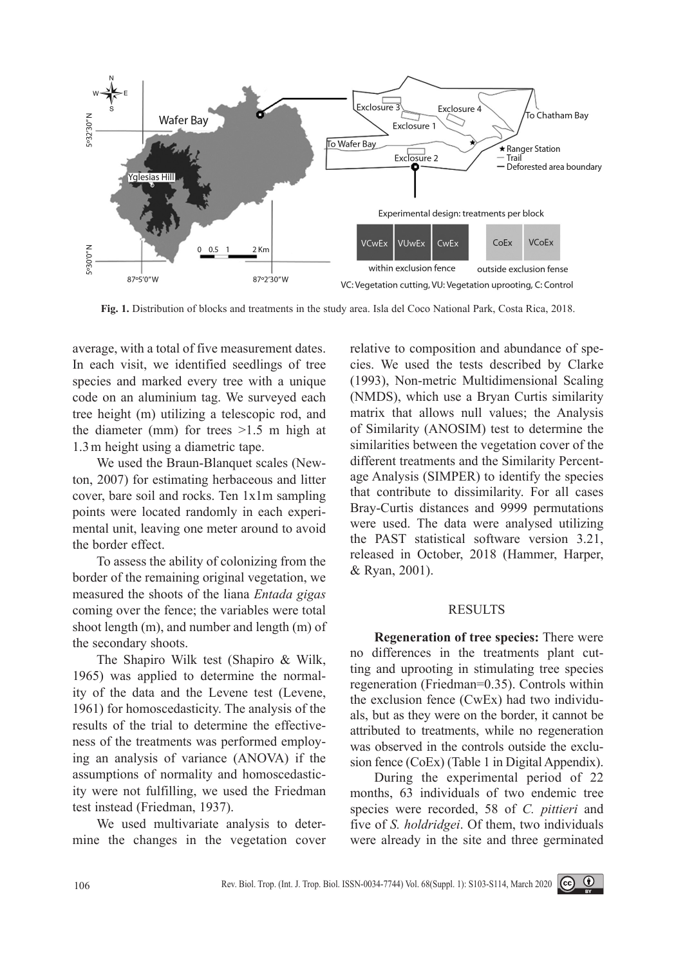

**Fig. 1.** Distribution of blocks and treatments in the study area. Isla del Coco National Park, Costa Rica, 2018.

average, with a total of five measurement dates. In each visit, we identified seedlings of tree species and marked every tree with a unique code on an aluminium tag. We surveyed each tree height (m) utilizing a telescopic rod, and the diameter (mm) for trees  $>1.5$  m high at 1.3m height using a diametric tape.

We used the Braun-Blanquet scales (Newton, 2007) for estimating herbaceous and litter cover, bare soil and rocks. Ten 1x1m sampling points were located randomly in each experimental unit, leaving one meter around to avoid the border effect.

To assess the ability of colonizing from the border of the remaining original vegetation, we measured the shoots of the liana *Entada gigas* coming over the fence; the variables were total shoot length (m), and number and length (m) of the secondary shoots.

The Shapiro Wilk test (Shapiro & Wilk, 1965) was applied to determine the normality of the data and the Levene test (Levene, 1961) for homoscedasticity. The analysis of the results of the trial to determine the effectiveness of the treatments was performed employing an analysis of variance (ANOVA) if the assumptions of normality and homoscedasticity were not fulfilling, we used the Friedman test instead (Friedman, 1937).

We used multivariate analysis to determine the changes in the vegetation cover relative to composition and abundance of species. We used the tests described by Clarke (1993), Non-metric Multidimensional Scaling (NMDS), which use a Bryan Curtis similarity matrix that allows null values; the Analysis of Similarity (ANOSIM) test to determine the similarities between the vegetation cover of the different treatments and the Similarity Percentage Analysis (SIMPER) to identify the species that contribute to dissimilarity. For all cases Bray-Curtis distances and 9999 permutations were used. The data were analysed utilizing the PAST statistical software version 3.21, released in October, 2018 (Hammer, Harper, & Ryan, 2001).

## RESULTS

**Regeneration of tree species:** There were no differences in the treatments plant cutting and uprooting in stimulating tree species regeneration (Friedman=0.35). Controls within the exclusion fence (CwEx) had two individuals, but as they were on the border, it cannot be attributed to treatments, while no regeneration was observed in the controls outside the exclusion fence (CoEx) (Table 1 in Digital Appendix).

During the experimental period of 22 months, 63 individuals of two endemic tree species were recorded, 58 of *C. pittieri* and five of *S. holdridgei*. Of them, two individuals were already in the site and three germinated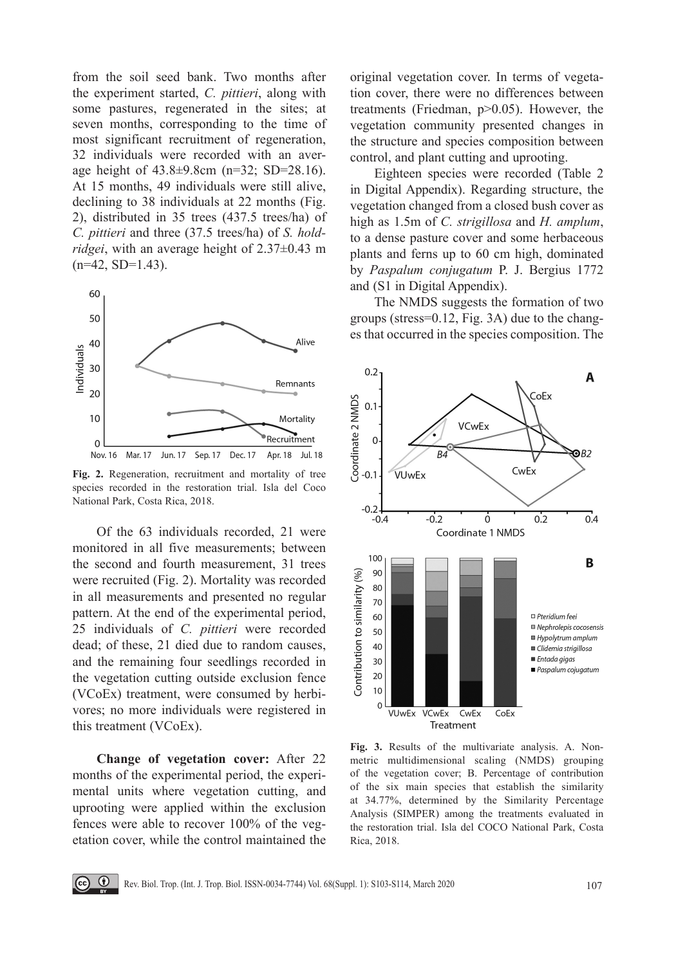from the soil seed bank. Two months after the experiment started, *C. pittieri*, along with some pastures, regenerated in the sites; at seven months, corresponding to the time of most significant recruitment of regeneration, 32 individuals were recorded with an average height of 43.8±9.8cm (n=32; SD=28.16). At 15 months, 49 individuals were still alive, declining to 38 individuals at 22 months (Fig. 2), distributed in 35 trees (437.5 trees/ha) of *C. pittieri* and three (37.5 trees/ha) of *S. holdridgei*, with an average height of 2.37±0.43 m  $(n=42, SD=1.43)$ .



**Fig. 2.** Regeneration, recruitment and mortality of tree species recorded in the restoration trial. Isla del Coco National Park, Costa Rica, 2018.

Of the 63 individuals recorded, 21 were monitored in all five measurements; between the second and fourth measurement, 31 trees were recruited (Fig. 2). Mortality was recorded in all measurements and presented no regular pattern. At the end of the experimental period, 25 individuals of *C. pittieri* were recorded dead; of these, 21 died due to random causes, and the remaining four seedlings recorded in the vegetation cutting outside exclusion fence (VCoEx) treatment, were consumed by herbivores; no more individuals were registered in this treatment (VCoEx).

**Change of vegetation cover:** After 22 months of the experimental period, the experimental units where vegetation cutting, and uprooting were applied within the exclusion fences were able to recover 100% of the vegetation cover, while the control maintained the

 $\Theta$ 

original vegetation cover. In terms of vegetation cover, there were no differences between treatments (Friedman, p>0.05). However, the vegetation community presented changes in the structure and species composition between control, and plant cutting and uprooting.

Eighteen species were recorded (Table 2 in Digital Appendix). Regarding structure, the vegetation changed from a closed bush cover as high as 1.5m of *C. strigillosa* and *H. amplum*, to a dense pasture cover and some herbaceous plants and ferns up to 60 cm high, dominated by *Paspalum conjugatum* P. J. Bergius 1772 and (S1 in Digital Appendix).

The NMDS suggests the formation of two groups (stress=0.12, Fig. 3A) due to the changes that occurred in the species composition. The



**Fig. 3.** Results of the multivariate analysis. A. Nonmetric multidimensional scaling (NMDS) grouping of the vegetation cover; B. Percentage of contribution of the six main species that establish the similarity at 34.77%, determined by the Similarity Percentage Analysis (SIMPER) among the treatments evaluated in the restoration trial. Isla del COCO National Park, Costa Rica, 2018.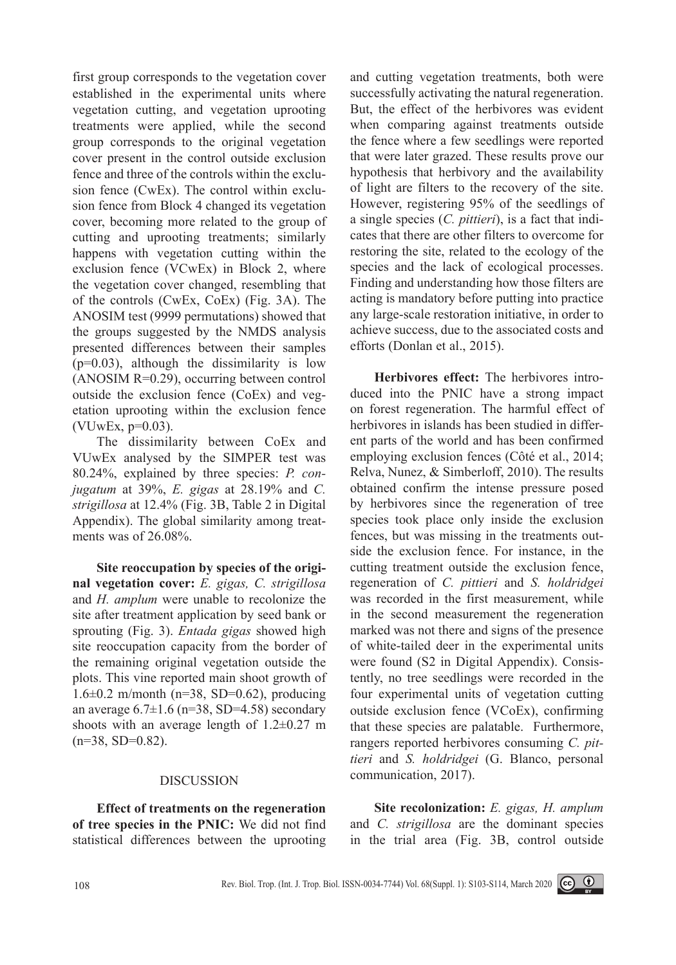first group corresponds to the vegetation cover established in the experimental units where vegetation cutting, and vegetation uprooting treatments were applied, while the second group corresponds to the original vegetation cover present in the control outside exclusion fence and three of the controls within the exclusion fence (CwEx). The control within exclusion fence from Block 4 changed its vegetation cover, becoming more related to the group of cutting and uprooting treatments; similarly happens with vegetation cutting within the exclusion fence (VCwEx) in Block 2, where the vegetation cover changed, resembling that of the controls (CwEx, CoEx) (Fig. 3A). The ANOSIM test (9999 permutations) showed that the groups suggested by the NMDS analysis presented differences between their samples  $(p=0.03)$ , although the dissimilarity is low (ANOSIM R=0.29), occurring between control outside the exclusion fence (CoEx) and vegetation uprooting within the exclusion fence (VUwEx, p=0.03).

The dissimilarity between CoEx and VUwEx analysed by the SIMPER test was 80.24%, explained by three species: *P. conjugatum* at 39%, *E. gigas* at 28.19% and *C. strigillosa* at 12.4% (Fig. 3B, Table 2 in Digital Appendix). The global similarity among treatments was of 26.08%.

**Site reoccupation by species of the original vegetation cover:** *E. gigas, C. strigillosa*  and *H. amplum* were unable to recolonize the site after treatment application by seed bank or sprouting (Fig. 3). *Entada gigas* showed high site reoccupation capacity from the border of the remaining original vegetation outside the plots. This vine reported main shoot growth of 1.6 $\pm$ 0.2 m/month (n=38, SD=0.62), producing an average  $6.7\pm1.6$  (n=38, SD=4.58) secondary shoots with an average length of 1.2±0.27 m  $(n=38, SD=0.82)$ .

#### DISCUSSION

**Effect of treatments on the regeneration of tree species in the PNIC:** We did not find statistical differences between the uprooting

and cutting vegetation treatments, both were successfully activating the natural regeneration. But, the effect of the herbivores was evident when comparing against treatments outside the fence where a few seedlings were reported that were later grazed. These results prove our hypothesis that herbivory and the availability of light are filters to the recovery of the site. However, registering 95% of the seedlings of a single species (*C. pittieri*), is a fact that indicates that there are other filters to overcome for restoring the site, related to the ecology of the species and the lack of ecological processes. Finding and understanding how those filters are acting is mandatory before putting into practice any large-scale restoration initiative, in order to achieve success, due to the associated costs and efforts (Donlan et al., 2015).

**Herbivores effect:** The herbivores introduced into the PNIC have a strong impact on forest regeneration. The harmful effect of herbivores in islands has been studied in different parts of the world and has been confirmed employing exclusion fences (Côté et al., 2014; Relva, Nunez, & Simberloff, 2010). The results obtained confirm the intense pressure posed by herbivores since the regeneration of tree species took place only inside the exclusion fences, but was missing in the treatments outside the exclusion fence. For instance, in the cutting treatment outside the exclusion fence, regeneration of *C. pittieri* and *S. holdridgei* was recorded in the first measurement, while in the second measurement the regeneration marked was not there and signs of the presence of white-tailed deer in the experimental units were found (S2 in Digital Appendix). Consistently, no tree seedlings were recorded in the four experimental units of vegetation cutting outside exclusion fence (VCoEx), confirming that these species are palatable. Furthermore, rangers reported herbivores consuming *C. pittieri* and *S. holdridgei* (G. Blanco, personal communication, 2017).

**Site recolonization:** *E. gigas, H. amplum*  and *C. strigillosa* are the dominant species in the trial area (Fig. 3B, control outside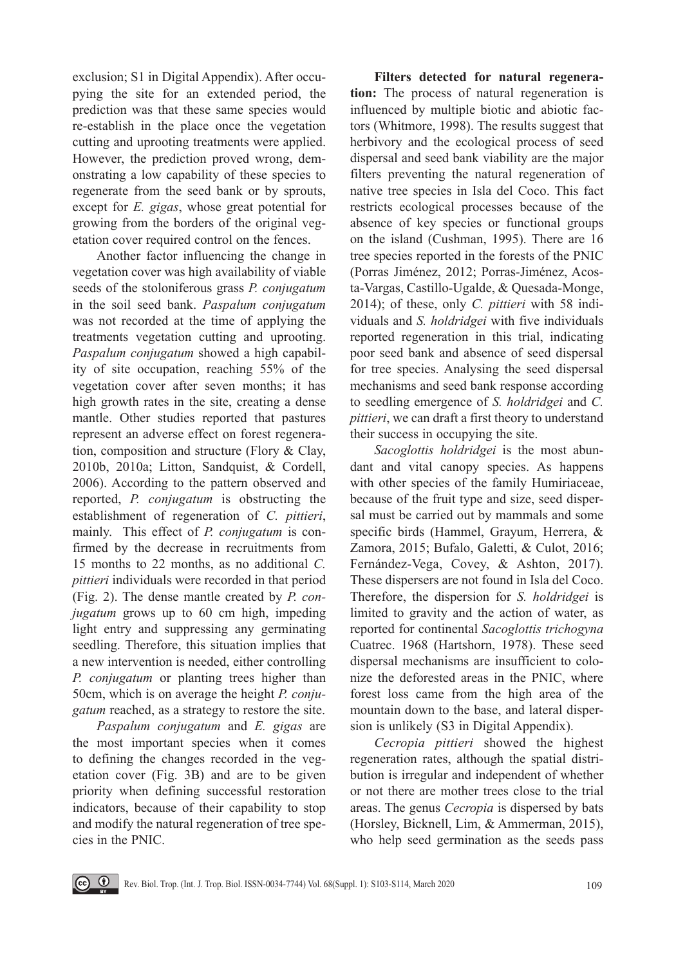exclusion; S1 in Digital Appendix). After occupying the site for an extended period, the prediction was that these same species would re-establish in the place once the vegetation cutting and uprooting treatments were applied. However, the prediction proved wrong, demonstrating a low capability of these species to regenerate from the seed bank or by sprouts, except for *E. gigas*, whose great potential for growing from the borders of the original vegetation cover required control on the fences.

Another factor influencing the change in vegetation cover was high availability of viable seeds of the stoloniferous grass *P. conjugatum* in the soil seed bank. *Paspalum conjugatum* was not recorded at the time of applying the treatments vegetation cutting and uprooting. *Paspalum conjugatum* showed a high capability of site occupation, reaching 55% of the vegetation cover after seven months; it has high growth rates in the site, creating a dense mantle. Other studies reported that pastures represent an adverse effect on forest regeneration, composition and structure (Flory & Clay, 2010b, 2010a; Litton, Sandquist, & Cordell, 2006). According to the pattern observed and reported, *P. conjugatum* is obstructing the establishment of regeneration of *C. pittieri*, mainly. This effect of *P. conjugatum* is confirmed by the decrease in recruitments from 15 months to 22 months, as no additional *C. pittieri* individuals were recorded in that period (Fig. 2). The dense mantle created by *P. conjugatum* grows up to 60 cm high, impeding light entry and suppressing any germinating seedling. Therefore, this situation implies that a new intervention is needed, either controlling *P. conjugatum* or planting trees higher than 50cm, which is on average the height *P. conjugatum* reached, as a strategy to restore the site.

*Paspalum conjugatum* and *E. gigas* are the most important species when it comes to defining the changes recorded in the vegetation cover (Fig. 3B) and are to be given priority when defining successful restoration indicators, because of their capability to stop and modify the natural regeneration of tree species in the PNIC.

 $\boxed{(\mathbf{\hat{c}})}$   $\boxed{0}$ 

**Filters detected for natural regeneration:** The process of natural regeneration is influenced by multiple biotic and abiotic factors (Whitmore, 1998). The results suggest that herbivory and the ecological process of seed dispersal and seed bank viability are the major filters preventing the natural regeneration of native tree species in Isla del Coco. This fact restricts ecological processes because of the absence of key species or functional groups on the island (Cushman, 1995). There are 16 tree species reported in the forests of the PNIC (Porras Jiménez, 2012; Porras-Jiménez, Acosta-Vargas, Castillo-Ugalde, & Quesada-Monge, 2014); of these, only *C. pittieri* with 58 individuals and *S. holdridgei* with five individuals reported regeneration in this trial, indicating poor seed bank and absence of seed dispersal for tree species. Analysing the seed dispersal mechanisms and seed bank response according to seedling emergence of *S. holdridgei* and *C. pittieri*, we can draft a first theory to understand their success in occupying the site.

*Sacoglottis holdridgei* is the most abundant and vital canopy species. As happens with other species of the family Humiriaceae, because of the fruit type and size, seed dispersal must be carried out by mammals and some specific birds (Hammel, Grayum, Herrera, & Zamora, 2015; Bufalo, Galetti, & Culot, 2016; Fernández-Vega, Covey, & Ashton, 2017). These dispersers are not found in Isla del Coco. Therefore, the dispersion for *S. holdridgei* is limited to gravity and the action of water, as reported for continental *Sacoglottis trichogyna* Cuatrec. 1968 (Hartshorn, 1978). These seed dispersal mechanisms are insufficient to colonize the deforested areas in the PNIC, where forest loss came from the high area of the mountain down to the base, and lateral dispersion is unlikely (S3 in Digital Appendix).

*Cecropia pittieri* showed the highest regeneration rates, although the spatial distribution is irregular and independent of whether or not there are mother trees close to the trial areas. The genus *Cecropia* is dispersed by bats (Horsley, Bicknell, Lim, & Ammerman, 2015), who help seed germination as the seeds pass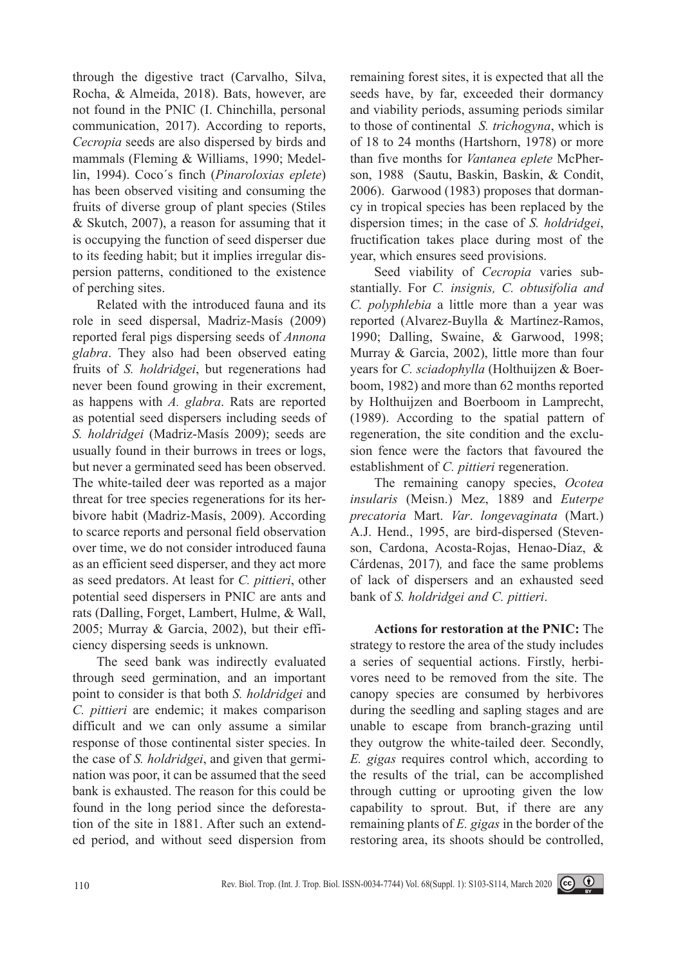through the digestive tract (Carvalho, Silva, Rocha, & Almeida, 2018). Bats, however, are not found in the PNIC (I. Chinchilla, personal communication, 2017). According to reports, *Cecropia* seeds are also dispersed by birds and mammals (Fleming & Williams, 1990; Medellin, 1994). Coco´s finch (*Pinaroloxias eplete*) has been observed visiting and consuming the fruits of diverse group of plant species (Stiles & Skutch, 2007), a reason for assuming that it is occupying the function of seed disperser due to its feeding habit; but it implies irregular dispersion patterns, conditioned to the existence of perching sites.

Related with the introduced fauna and its role in seed dispersal, Madriz-Masís (2009) reported feral pigs dispersing seeds of *Annona glabra*. They also had been observed eating fruits of *S. holdridgei*, but regenerations had never been found growing in their excrement, as happens with *A. glabra*. Rats are reported as potential seed dispersers including seeds of *S. holdridgei* (Madriz-Masís 2009); seeds are usually found in their burrows in trees or logs, but never a germinated seed has been observed. The white-tailed deer was reported as a major threat for tree species regenerations for its herbivore habit (Madriz-Masís, 2009). According to scarce reports and personal field observation over time, we do not consider introduced fauna as an efficient seed disperser, and they act more as seed predators. At least for *C. pittieri*, other potential seed dispersers in PNIC are ants and rats (Dalling, Forget, Lambert, Hulme, & Wall, 2005; Murray & Garcia, 2002), but their efficiency dispersing seeds is unknown.

The seed bank was indirectly evaluated through seed germination, and an important point to consider is that both *S. holdridgei* and *C. pittieri* are endemic; it makes comparison difficult and we can only assume a similar response of those continental sister species. In the case of *S. holdridgei*, and given that germination was poor, it can be assumed that the seed bank is exhausted. The reason for this could be found in the long period since the deforestation of the site in 1881. After such an extended period, and without seed dispersion from

remaining forest sites, it is expected that all the seeds have, by far, exceeded their dormancy and viability periods, assuming periods similar to those of continental *S. trichogyna*, which is of 18 to 24 months (Hartshorn, 1978) or more than five months for *Vantanea eplete* McPherson, 1988 (Sautu, Baskin, Baskin, & Condit, 2006). Garwood (1983) proposes that dormancy in tropical species has been replaced by the dispersion times; in the case of *S. holdridgei*, fructification takes place during most of the year, which ensures seed provisions.

Seed viability of *Cecropia* varies substantially. For *C. insignis, C. obtusifolia and C. polyphlebia* a little more than a year was reported (Alvarez-Buylla & Martínez-Ramos, 1990; Dalling, Swaine, & Garwood, 1998; Murray & Garcia, 2002), little more than four years for *C. sciadophylla* (Holthuijzen & Boerboom, 1982) and more than 62 months reported by Holthuijzen and Boerboom in Lamprecht, (1989). According to the spatial pattern of regeneration, the site condition and the exclusion fence were the factors that favoured the establishment of *C. pittieri* regeneration.

The remaining canopy species, *Ocotea insularis* (Meisn.) Mez, 1889 and *Euterpe precatoria* Mart. *Var*. *longevaginata* (Mart.) A.J. Hend., 1995, are bird-dispersed (Stevenson, Cardona, Acosta-Rojas, Henao-Díaz, & Cárdenas, 2017)*,* and face the same problems of lack of dispersers and an exhausted seed bank of *S. holdridgei and C. pittieri*.

**Actions for restoration at the PNIC:** The strategy to restore the area of the study includes a series of sequential actions. Firstly, herbivores need to be removed from the site. The canopy species are consumed by herbivores during the seedling and sapling stages and are unable to escape from branch-grazing until they outgrow the white-tailed deer. Secondly, *E. gigas* requires control which, according to the results of the trial, can be accomplished through cutting or uprooting given the low capability to sprout. But, if there are any remaining plants of *E. gigas* in the border of the restoring area, its shoots should be controlled,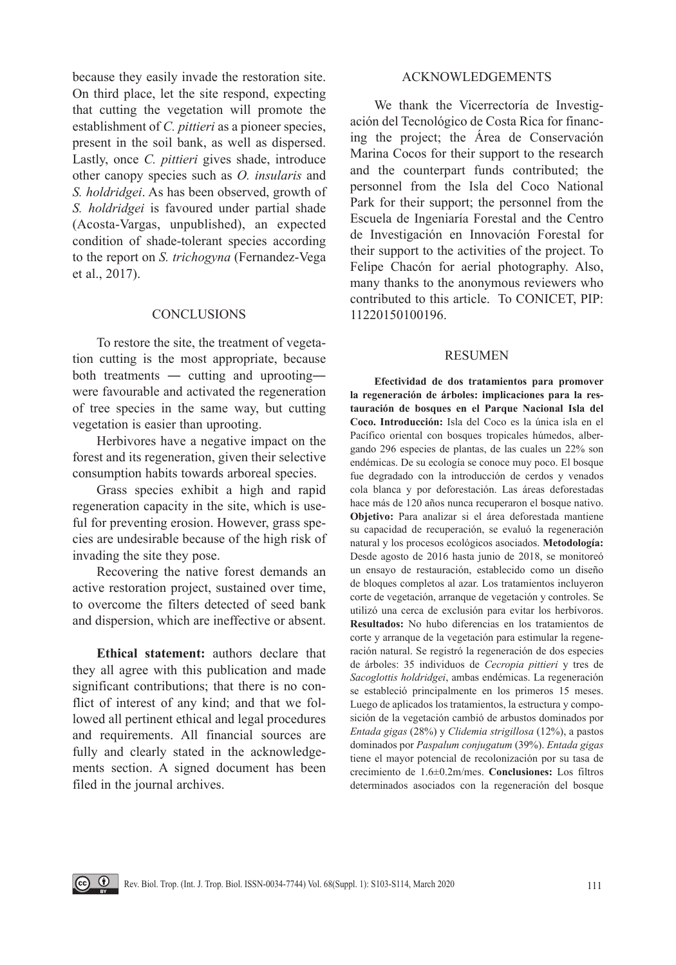because they easily invade the restoration site. On third place, let the site respond, expecting that cutting the vegetation will promote the establishment of *C. pittieri* as a pioneer species, present in the soil bank, as well as dispersed. Lastly, once *C. pittieri* gives shade, introduce other canopy species such as *O. insularis* and *S. holdridgei*. As has been observed, growth of *S. holdridgei* is favoured under partial shade (Acosta-Vargas, unpublished), an expected condition of shade-tolerant species according to the report on *S. trichogyna* (Fernandez-Vega et al., 2017).

### **CONCLUSIONS**

To restore the site, the treatment of vegetation cutting is the most appropriate, because both treatments ― cutting and uprooting― were favourable and activated the regeneration of tree species in the same way, but cutting vegetation is easier than uprooting.

Herbivores have a negative impact on the forest and its regeneration, given their selective consumption habits towards arboreal species.

Grass species exhibit a high and rapid regeneration capacity in the site, which is useful for preventing erosion. However, grass species are undesirable because of the high risk of invading the site they pose.

Recovering the native forest demands an active restoration project, sustained over time, to overcome the filters detected of seed bank and dispersion, which are ineffective or absent.

**Ethical statement:** authors declare that they all agree with this publication and made significant contributions; that there is no conflict of interest of any kind; and that we followed all pertinent ethical and legal procedures and requirements. All financial sources are fully and clearly stated in the acknowledgements section. A signed document has been filed in the journal archives.

 $\circledcirc$   $\circledcirc$   $\circledcirc$ 

## ACKNOWLEDGEMENTS

We thank the Vicerrectoría de Investigación del Tecnológico de Costa Rica for financing the project; the Área de Conservación Marina Cocos for their support to the research and the counterpart funds contributed; the personnel from the Isla del Coco National Park for their support; the personnel from the Escuela de Ingeniaría Forestal and the Centro de Investigación en Innovación Forestal for their support to the activities of the project. To Felipe Chacón for aerial photography. Also, many thanks to the anonymous reviewers who contributed to this article. To CONICET, PIP: 11220150100196.

#### RESUMEN

**Efectividad de dos tratamientos para promover la regeneración de árboles: implicaciones para la restauración de bosques en el Parque Nacional Isla del Coco. Introducción:** Isla del Coco es la única isla en el Pacífico oriental con bosques tropicales húmedos, albergando 296 especies de plantas, de las cuales un 22% son endémicas. De su ecología se conoce muy poco. El bosque fue degradado con la introducción de cerdos y venados cola blanca y por deforestación. Las áreas deforestadas hace más de 120 años nunca recuperaron el bosque nativo. **Objetivo:** Para analizar si el área deforestada mantiene su capacidad de recuperación, se evaluó la regeneración natural y los procesos ecológicos asociados. **Metodología:**  Desde agosto de 2016 hasta junio de 2018, se monitoreó un ensayo de restauración, establecido como un diseño de bloques completos al azar. Los tratamientos incluyeron corte de vegetación, arranque de vegetación y controles. Se utilizó una cerca de exclusión para evitar los herbívoros. **Resultados:** No hubo diferencias en los tratamientos de corte y arranque de la vegetación para estimular la regeneración natural. Se registró la regeneración de dos especies de árboles: 35 individuos de *Cecropia pittieri* y tres de *Sacoglottis holdridgei*, ambas endémicas. La regeneración se estableció principalmente en los primeros 15 meses. Luego de aplicados los tratamientos, la estructura y composición de la vegetación cambió de arbustos dominados por *Entada gigas* (28%) y *Clidemia strigillosa* (12%), a pastos dominados por *Paspalum conjugatum* (39%). *Entada gigas* tiene el mayor potencial de recolonización por su tasa de crecimiento de 1.6±0.2m/mes. **Conclusiones:** Los filtros determinados asociados con la regeneración del bosque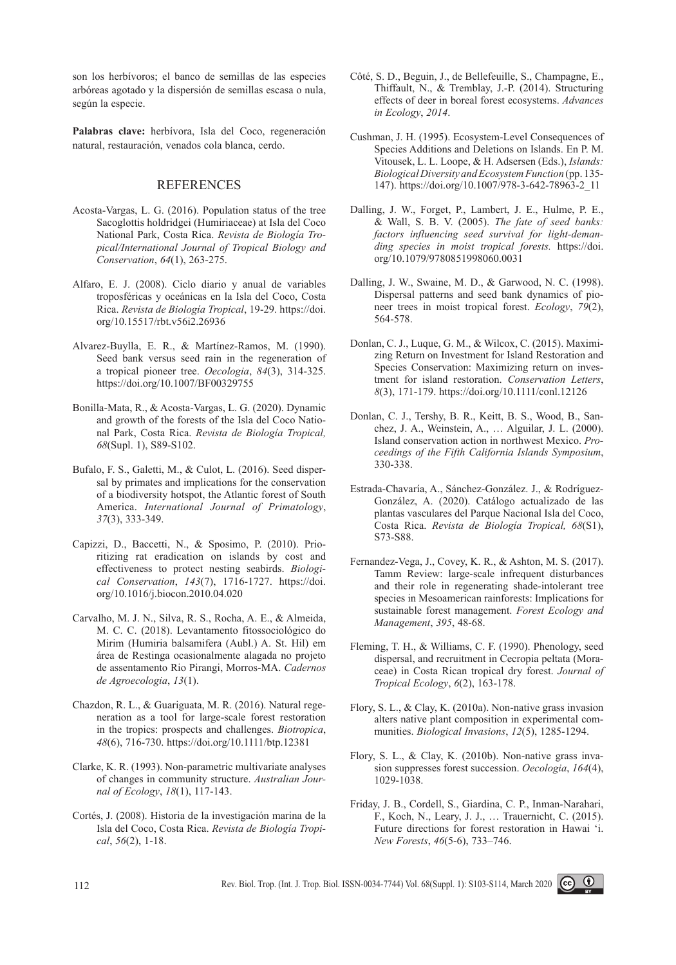son los herbívoros; el banco de semillas de las especies arbóreas agotado y la dispersión de semillas escasa o nula, según la especie.

**Palabras clave:** herbívora, Isla del Coco, regeneración natural, restauración, venados cola blanca, cerdo.

### **REFERENCES**

- Acosta-Vargas, L. G. (2016). Population status of the tree Sacoglottis holdridgei (Humiriaceae) at Isla del Coco National Park, Costa Rica. *Revista de Biología Tropical/International Journal of Tropical Biology and Conservation*, *64*(1), 263-275.
- Alfaro, E. J. (2008). Ciclo diario y anual de variables troposféricas y oceánicas en la Isla del Coco, Costa Rica. *Revista de Biología Tropical*, 19-29. https://doi. org/10.15517/rbt.v56i2.26936
- Alvarez-Buylla, E. R., & Martínez-Ramos, M. (1990). Seed bank versus seed rain in the regeneration of a tropical pioneer tree. *Oecologia*, *84*(3), 314-325. https://doi.org/10.1007/BF00329755
- Bonilla-Mata, R., & Acosta-Vargas, L. G. (2020). Dynamic and growth of the forests of the Isla del Coco National Park, Costa Rica. *Revista de Biología Tropical, 68*(Supl. 1), S89-S102.
- Bufalo, F. S., Galetti, M., & Culot, L. (2016). Seed dispersal by primates and implications for the conservation of a biodiversity hotspot, the Atlantic forest of South America. *International Journal of Primatology*, *37*(3), 333-349.
- Capizzi, D., Baccetti, N., & Sposimo, P. (2010). Prioritizing rat eradication on islands by cost and effectiveness to protect nesting seabirds. *Biological Conservation*, *143*(7), 1716-1727. https://doi. org/10.1016/j.biocon.2010.04.020
- Carvalho, M. J. N., Silva, R. S., Rocha, A. E., & Almeida, M. C. C. (2018). Levantamento fitossociológico do Mirim (Humiria balsamifera (Aubl.) A. St. Hil) em área de Restinga ocasionalmente alagada no projeto de assentamento Rio Pirangi, Morros-MA. *Cadernos de Agroecologia*, *13*(1).
- Chazdon, R. L., & Guariguata, M. R. (2016). Natural regeneration as a tool for large-scale forest restoration in the tropics: prospects and challenges. *Biotropica*, *48*(6), 716-730. https://doi.org/10.1111/btp.12381
- Clarke, K. R. (1993). Non-parametric multivariate analyses of changes in community structure. *Australian Journal of Ecology*, *18*(1), 117-143.
- Cortés, J. (2008). Historia de la investigación marina de la Isla del Coco, Costa Rica. *Revista de Biología Tropical*, *56*(2), 1-18.
- Côté, S. D., Beguin, J., de Bellefeuille, S., Champagne, E., Thiffault, N., & Tremblay, J.-P. (2014). Structuring effects of deer in boreal forest ecosystems. *Advances in Ecology*, *2014*.
- Cushman, J. H. (1995). Ecosystem-Level Consequences of Species Additions and Deletions on Islands. En P. M. Vitousek, L. L. Loope, & H. Adsersen (Eds.), *Islands: Biological Diversity and Ecosystem Function* (pp. 135- 147). https://doi.org/10.1007/978-3-642-78963-2\_11
- Dalling, J. W., Forget, P., Lambert, J. E., Hulme, P. E., & Wall, S. B. V. (2005). *The fate of seed banks: factors influencing seed survival for light-demanding species in moist tropical forests.* https://doi. org/10.1079/9780851998060.0031
- Dalling, J. W., Swaine, M. D., & Garwood, N. C. (1998). Dispersal patterns and seed bank dynamics of pioneer trees in moist tropical forest. *Ecology*, *79*(2), 564-578.
- Donlan, C. J., Luque, G. M., & Wilcox, C. (2015). Maximizing Return on Investment for Island Restoration and Species Conservation: Maximizing return on investment for island restoration. *Conservation Letters*, *8*(3), 171-179. https://doi.org/10.1111/conl.12126
- Donlan, C. J., Tershy, B. R., Keitt, B. S., Wood, B., Sanchez, J. A., Weinstein, A., … Alguilar, J. L. (2000). Island conservation action in northwest Mexico. *Proceedings of the Fifth California Islands Symposium*, 330-338.
- Estrada-Chavaría, A., Sánchez-González. J., & Rodríguez-González, A. (2020). Catálogo actualizado de las plantas vasculares del Parque Nacional Isla del Coco, Costa Rica. *Revista de Biología Tropical, 68*(S1), S73-S88.
- Fernandez-Vega, J., Covey, K. R., & Ashton, M. S. (2017). Tamm Review: large-scale infrequent disturbances and their role in regenerating shade-intolerant tree species in Mesoamerican rainforests: Implications for sustainable forest management. *Forest Ecology and Management*, *395*, 48-68.
- Fleming, T. H., & Williams, C. F. (1990). Phenology, seed dispersal, and recruitment in Cecropia peltata (Moraceae) in Costa Rican tropical dry forest. *Journal of Tropical Ecology*, *6*(2), 163-178.
- Flory, S. L., & Clay, K. (2010a). Non-native grass invasion alters native plant composition in experimental communities. *Biological Invasions*, *12*(5), 1285-1294.
- Flory, S. L., & Clay, K. (2010b). Non-native grass invasion suppresses forest succession. *Oecologia*, *164*(4), 1029-1038.
- Friday, J. B., Cordell, S., Giardina, C. P., Inman-Narahari, F., Koch, N., Leary, J. J., … Trauernicht, C. (2015). Future directions for forest restoration in Hawai 'i. *New Forests*, *46*(5-6), 733–746.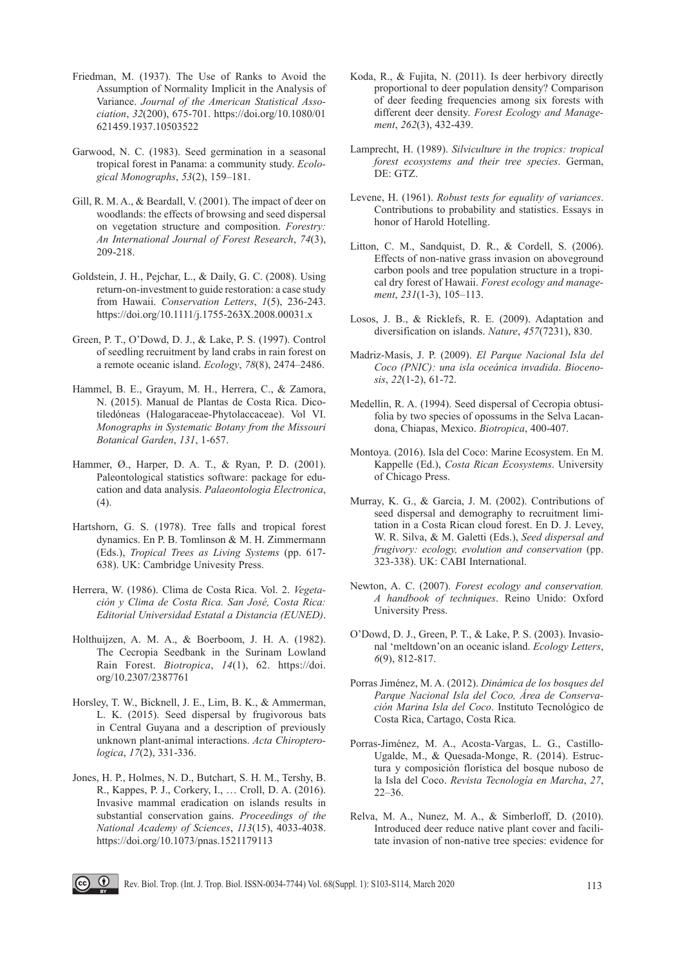- Friedman, M. (1937). The Use of Ranks to Avoid the Assumption of Normality Implicit in the Analysis of Variance. *Journal of the American Statistical Association*, *32*(200), 675-701. https://doi.org/10.1080/01 621459.1937.10503522
- Garwood, N. C. (1983). Seed germination in a seasonal tropical forest in Panama: a community study. *Ecological Monographs*, *53*(2), 159–181.
- Gill, R. M. A., & Beardall, V. (2001). The impact of deer on woodlands: the effects of browsing and seed dispersal on vegetation structure and composition. *Forestry: An International Journal of Forest Research*, *74*(3), 209-218.
- Goldstein, J. H., Pejchar, L., & Daily, G. C. (2008). Using return-on-investment to guide restoration: a case study from Hawaii. *Conservation Letters*, *1*(5), 236-243. https://doi.org/10.1111/j.1755-263X.2008.00031.x
- Green, P. T., O'Dowd, D. J., & Lake, P. S. (1997). Control of seedling recruitment by land crabs in rain forest on a remote oceanic island. *Ecology*, *78*(8), 2474–2486.
- Hammel, B. E., Grayum, M. H., Herrera, C., & Zamora, N. (2015). Manual de Plantas de Costa Rica. Dicotiledóneas (Halogaraceae-Phytolaccaceae). Vol VI. *Monographs in Systematic Botany from the Missouri Botanical Garden*, *131*, 1-657.
- Hammer, Ø., Harper, D. A. T., & Ryan, P. D. (2001). Paleontological statistics software: package for education and data analysis. *Palaeontologia Electronica*, (4).
- Hartshorn, G. S. (1978). Tree falls and tropical forest dynamics. En P. B. Tomlinson & M. H. Zimmermann (Eds.), *Tropical Trees as Living Systems* (pp. 617- 638). UK: Cambridge Univesity Press.
- Herrera, W. (1986). Clima de Costa Rica. Vol. 2. *Vegetación y Clima de Costa Rica. San José, Costa Rica: Editorial Universidad Estatal a Distancia (EUNED)*.
- Holthuijzen, A. M. A., & Boerboom, J. H. A. (1982). The Cecropia Seedbank in the Surinam Lowland Rain Forest. *Biotropica*, *14*(1), 62. https://doi. org/10.2307/2387761
- Horsley, T. W., Bicknell, J. E., Lim, B. K., & Ammerman, L. K. (2015). Seed dispersal by frugivorous bats in Central Guyana and a description of previously unknown plant-animal interactions. *Acta Chiropterologica*, *17*(2), 331-336.
- Jones, H. P., Holmes, N. D., Butchart, S. H. M., Tershy, B. R., Kappes, P. J., Corkery, I., … Croll, D. A. (2016). Invasive mammal eradication on islands results in substantial conservation gains. *Proceedings of the National Academy of Sciences*, *113*(15), 4033-4038. https://doi.org/10.1073/pnas.1521179113
- Koda, R., & Fujita, N. (2011). Is deer herbivory directly proportional to deer population density? Comparison of deer feeding frequencies among six forests with different deer density. *Forest Ecology and Management*, *262*(3), 432-439.
- Lamprecht, H. (1989). *Silviculture in the tropics: tropical forest ecosystems and their tree species*. German, DE: GTZ.
- Levene, H. (1961). *Robust tests for equality of variances*. Contributions to probability and statistics. Essays in honor of Harold Hotelling.
- Litton, C. M., Sandquist, D. R., & Cordell, S. (2006). Effects of non-native grass invasion on aboveground carbon pools and tree population structure in a tropical dry forest of Hawaii. *Forest ecology and management*, *231*(1-3), 105–113.
- Losos, J. B., & Ricklefs, R. E. (2009). Adaptation and diversification on islands. *Nature*, *457*(7231), 830.
- Madriz-Masís, J. P. (2009). *El Parque Nacional Isla del Coco (PNIC): una isla oceánica invadida*. *Biocenosis*, *22*(1-2), 61-72.
- Medellin, R. A. (1994). Seed dispersal of Cecropia obtusifolia by two species of opossums in the Selva Lacandona, Chiapas, Mexico. *Biotropica*, 400-407.
- Montoya. (2016). Isla del Coco: Marine Ecosystem. En M. Kappelle (Ed.), *Costa Rican Ecosystems*. University of Chicago Press.
- Murray, K. G., & Garcia, J. M. (2002). Contributions of seed dispersal and demography to recruitment limitation in a Costa Rican cloud forest. En D. J. Levey, W. R. Silva, & M. Galetti (Eds.), *Seed dispersal and frugivory: ecology, evolution and conservation* (pp. 323-338). UK: CABI International.
- Newton, A. C. (2007). *Forest ecology and conservation. A handbook of techniques*. Reino Unido: Oxford University Press.
- O'Dowd, D. J., Green, P. T., & Lake, P. S. (2003). Invasional 'meltdown'on an oceanic island. *Ecology Letters*, *6*(9), 812-817.
- Porras Jiménez, M. A. (2012). *Dinámica de los bosques del Parque Nacional Isla del Coco, Área de Conservación Marina Isla del Coco*. Instituto Tecnológico de Costa Rica, Cartago, Costa Rica.
- Porras-Jiménez, M. A., Acosta-Vargas, L. G., Castillo-Ugalde, M., & Quesada-Monge, R. (2014). Estructura y composición florística del bosque nuboso de la Isla del Coco. *Revista Tecnología en Marcha*, *27*, 22–36.
- Relva, M. A., Nunez, M. A., & Simberloff, D. (2010). Introduced deer reduce native plant cover and facilitate invasion of non-native tree species: evidence for